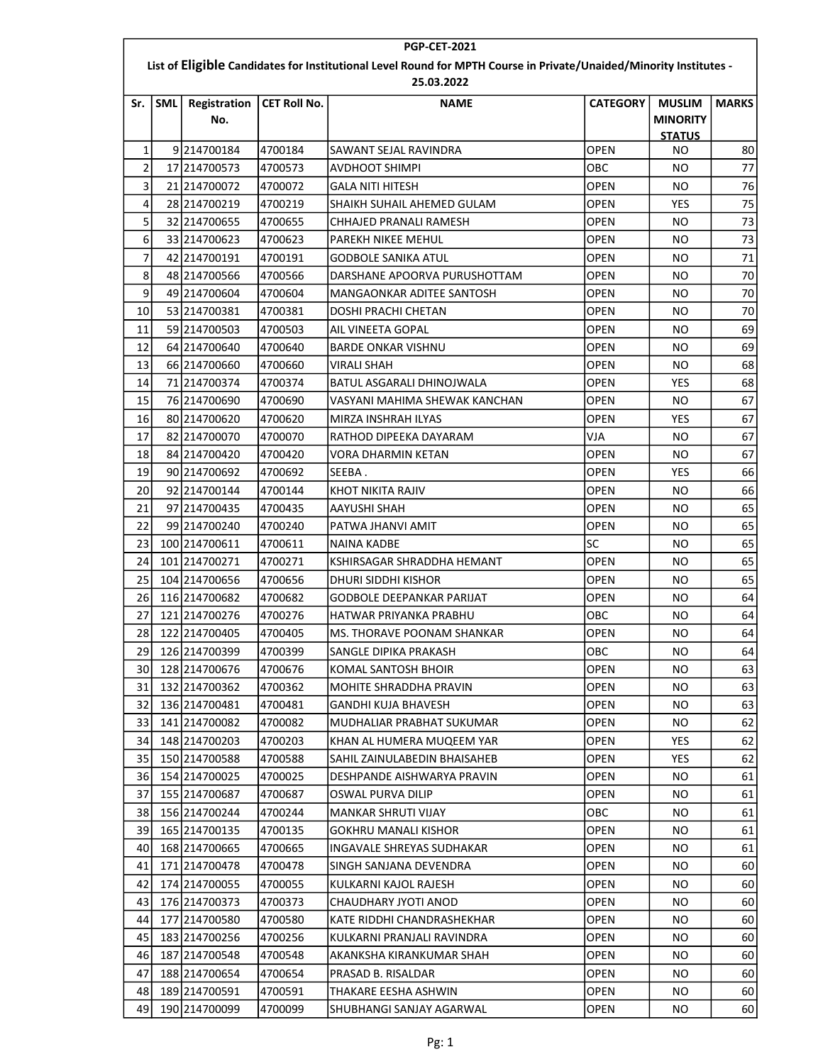| <b>PGP-CET-2021</b>                                                                                                              |            |                     |                     |                               |                 |                                                   |              |  |  |
|----------------------------------------------------------------------------------------------------------------------------------|------------|---------------------|---------------------|-------------------------------|-----------------|---------------------------------------------------|--------------|--|--|
| List of Eligible Candidates for Institutional Level Round for MPTH Course in Private/Unaided/Minority Institutes -<br>25.03.2022 |            |                     |                     |                               |                 |                                                   |              |  |  |
| Sr.                                                                                                                              | <b>SML</b> | Registration<br>No. | <b>CET Roll No.</b> | <b>NAME</b>                   | <b>CATEGORY</b> | <b>MUSLIM</b><br><b>MINORITY</b><br><b>STATUS</b> | <b>MARKS</b> |  |  |
| $\mathbf{1}$                                                                                                                     |            | 9214700184          | 4700184             | SAWANT SEJAL RAVINDRA         | OPEN            | ΝO                                                | 80           |  |  |
| $\overline{2}$                                                                                                                   |            | 17 214700573        | 4700573             | <b>AVDHOOT SHIMPI</b>         | ОВС             | NO                                                | 77           |  |  |
| 3                                                                                                                                |            | 21 214700072        | 4700072             | <b>GALA NITI HITESH</b>       | <b>OPEN</b>     | NO                                                | 76           |  |  |
| 4                                                                                                                                |            | 28 214700219        | 4700219             | SHAIKH SUHAIL AHEMED GULAM    | OPEN            | <b>YES</b>                                        | 75           |  |  |
| 5                                                                                                                                |            | 32 214700655        | 4700655             | CHHAJED PRANALI RAMESH        | <b>OPEN</b>     | NO.                                               | 73           |  |  |
| 6                                                                                                                                |            | 33 214700623        | 4700623             | PAREKH NIKEE MEHUL            | <b>OPEN</b>     | NO.                                               | 73           |  |  |
| $\overline{7}$                                                                                                                   |            | 42 214700191        | 4700191             | <b>GODBOLE SANIKA ATUL</b>    | <b>OPEN</b>     | NO                                                | 71           |  |  |
| 8                                                                                                                                |            | 48 214700566        | 4700566             | DARSHANE APOORVA PURUSHOTTAM  | OPEN            | ΝO                                                | 70           |  |  |
| 9                                                                                                                                |            | 49 214700604        | 4700604             | MANGAONKAR ADITEE SANTOSH     | OPEN            | NO.                                               | 70           |  |  |
| 10                                                                                                                               |            | 53 214700381        | 4700381             | DOSHI PRACHI CHETAN           | OPEN            | NO                                                | 70           |  |  |
| 11                                                                                                                               |            | 59 214700503        | 4700503             | AIL VINEETA GOPAL             | OPEN            | NO                                                | 69           |  |  |
| 12                                                                                                                               |            | 64 214700640        | 4700640             | <b>BARDE ONKAR VISHNU</b>     | OPEN            | ΝO                                                | 69           |  |  |
| 13                                                                                                                               |            | 66 214700660        | 4700660             | VIRALI SHAH                   | OPEN            | NO                                                | 68           |  |  |
| 14                                                                                                                               |            | 71 214700374        | 4700374             | BATUL ASGARALI DHINOJWALA     | <b>OPEN</b>     | <b>YES</b>                                        | 68           |  |  |
| 15                                                                                                                               |            | 76 214700690        | 4700690             | VASYANI MAHIMA SHEWAK KANCHAN | OPEN            | <b>NO</b>                                         | 67           |  |  |
| 16                                                                                                                               |            | 80 214700620        | 4700620             | MIRZA INSHRAH ILYAS           | <b>OPEN</b>     | <b>YES</b>                                        | 67           |  |  |
| 17                                                                                                                               |            | 82 214700070        | 4700070             | RATHOD DIPEEKA DAYARAM        | VJA             | ΝO                                                | 67           |  |  |
| 18                                                                                                                               |            | 84 214700420        | 4700420             | VORA DHARMIN KETAN            | <b>OPEN</b>     | NO.                                               | 67           |  |  |
| 19                                                                                                                               |            | 90 214700692        | 4700692             | SEEBA.                        | OPEN            | <b>YES</b>                                        | 66           |  |  |
| 20                                                                                                                               |            | 92 214700144        | 4700144             | KHOT NIKITA RAJIV             | <b>OPEN</b>     | ΝO                                                | 66           |  |  |
| 21                                                                                                                               |            | 97 214700435        | 4700435             | AAYUSHI SHAH                  | OPEN            | ΝO                                                | 65           |  |  |
| 22                                                                                                                               |            | 99 214700240        | 4700240             | PATWA JHANVI AMIT             | <b>OPEN</b>     | <b>NO</b>                                         | 65           |  |  |
| 23                                                                                                                               |            | 100 214700611       | 4700611             | NAINA KADBE                   | lsc             | ΝO                                                | 65           |  |  |
| 24                                                                                                                               |            | 101 214700271       | 4700271             | KSHIRSAGAR SHRADDHA HEMANT    | OPEN            | <b>NO</b>                                         | 65           |  |  |
| 25                                                                                                                               |            | 104 214700656       | 4700656             | DHURI SIDDHI KISHOR           | <b>OPEN</b>     | ΝO                                                | 65           |  |  |
| 26                                                                                                                               |            | 116 214700682       | 4700682             | GODBOLE DEEPANKAR PARIJAT     | <b>OPEN</b>     | ΝO                                                | 64           |  |  |
| 27                                                                                                                               |            | 121 214700276       | 4700276             | HATWAR PRIYANKA PRABHU        | овс             | ΝO                                                | 64           |  |  |
| 28                                                                                                                               |            | 122 214700405       | 4700405             | MS. THORAVE POONAM SHANKAR    | <b>OPEN</b>     | NO                                                | 64           |  |  |
| 29                                                                                                                               |            | 126 214700399       | 4700399             | SANGLE DIPIKA PRAKASH         | ОВС             | NO.                                               | 64           |  |  |
| 30                                                                                                                               |            | 128 214700676       | 4700676             | KOMAL SANTOSH BHOIR           | <b>OPEN</b>     | NO.                                               | 63           |  |  |
| 31                                                                                                                               |            | 132 214700362       | 4700362             | MOHITE SHRADDHA PRAVIN        | OPEN            | NO.                                               | 63           |  |  |
| 32                                                                                                                               |            | 136 214700481       | 4700481             | <b>GANDHI KUJA BHAVESH</b>    | OPEN            | NO.                                               | 63           |  |  |
| 33                                                                                                                               |            | 141 214700082       | 4700082             | MUDHALIAR PRABHAT SUKUMAR     | <b>OPEN</b>     | NO.                                               | 62           |  |  |
| 34                                                                                                                               |            | 148 214700203       | 4700203             | KHAN AL HUMERA MUQEEM YAR     | OPEN            | <b>YES</b>                                        | 62           |  |  |
| 35                                                                                                                               |            | 150 214700588       | 4700588             | SAHIL ZAINULABEDIN BHAISAHEB  | OPEN            | <b>YES</b>                                        | 62           |  |  |
| 36                                                                                                                               |            | 154 214700025       | 4700025             | DESHPANDE AISHWARYA PRAVIN    | OPEN            | ΝO                                                | 61           |  |  |
| 37                                                                                                                               |            | 155 214700687       | 4700687             | OSWAL PURVA DILIP             | OPEN            | NO.                                               | 61           |  |  |
| 38                                                                                                                               |            | 156 214700244       | 4700244             | <b>MANKAR SHRUTI VIJAY</b>    | ОВС             | NO.                                               | 61           |  |  |
| 39                                                                                                                               |            | 165 214700135       | 4700135             | <b>GOKHRU MANALI KISHOR</b>   | <b>OPEN</b>     | NO.                                               | 61           |  |  |
| 40                                                                                                                               |            | 168 214700665       | 4700665             | INGAVALE SHREYAS SUDHAKAR     | OPEN            | NO.                                               | 61           |  |  |
| 41                                                                                                                               |            | 171 214700478       | 4700478             | SINGH SANJANA DEVENDRA        | OPEN            | NO.                                               | 60           |  |  |
| 42                                                                                                                               |            | 174 214700055       | 4700055             | KULKARNI KAJOL RAJESH         | OPEN            | NO.                                               | 60           |  |  |
| 43                                                                                                                               |            | 176 214700373       | 4700373             | CHAUDHARY JYOTI ANOD          | OPEN            | NO.                                               | 60           |  |  |
| 44                                                                                                                               |            | 177 214700580       | 4700580             | KATE RIDDHI CHANDRASHEKHAR    | <b>OPEN</b>     | NO.                                               | 60           |  |  |
| 45                                                                                                                               |            | 183 214700256       | 4700256             | KULKARNI PRANJALI RAVINDRA    | <b>OPEN</b>     | NO.                                               | 60           |  |  |
| 46                                                                                                                               |            | 187 214700548       | 4700548             | AKANKSHA KIRANKUMAR SHAH      | OPEN            | NO.                                               | 60           |  |  |
| 47                                                                                                                               |            | 188 214700654       | 4700654             | PRASAD B. RISALDAR            | <b>OPEN</b>     | NO.                                               | 60           |  |  |
| 48                                                                                                                               |            | 189 214700591       | 4700591             | THAKARE EESHA ASHWIN          | OPEN            | NO.                                               | 60           |  |  |
| 49                                                                                                                               |            | 190 214700099       | 4700099             | SHUBHANGI SANJAY AGARWAL      | OPEN            | NO.                                               | 60           |  |  |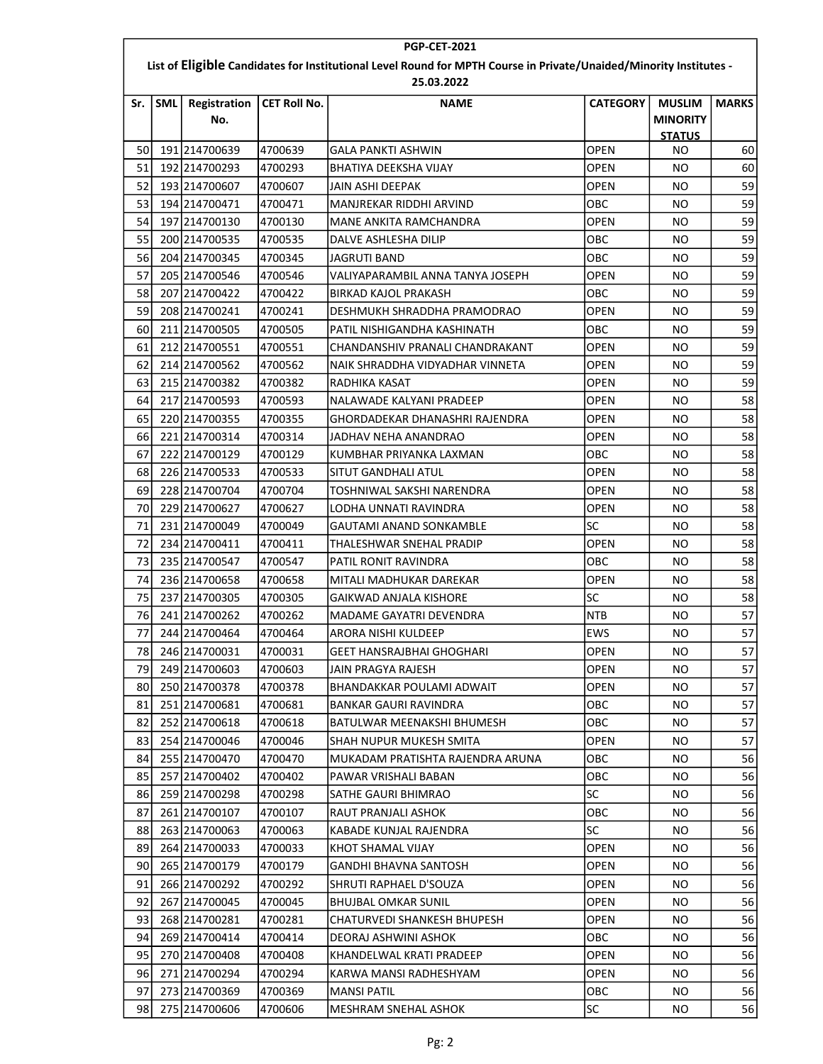|     | <b>PGP-CET-2021</b>                                                                                                |               |                     |                                  |                 |                                  |              |  |  |  |
|-----|--------------------------------------------------------------------------------------------------------------------|---------------|---------------------|----------------------------------|-----------------|----------------------------------|--------------|--|--|--|
|     | List of Eligible Candidates for Institutional Level Round for MPTH Course in Private/Unaided/Minority Institutes - |               |                     |                                  |                 |                                  |              |  |  |  |
| Sr. | <b>SML</b>                                                                                                         | Registration  | <b>CET Roll No.</b> | 25.03.2022<br><b>NAME</b>        | <b>CATEGORY</b> | <b>MUSLIM</b>                    | <b>MARKS</b> |  |  |  |
|     |                                                                                                                    | No.           |                     |                                  |                 | <b>MINORITY</b><br><b>STATUS</b> |              |  |  |  |
| 50  |                                                                                                                    | 191 214700639 | 4700639             | <b>GALA PANKTI ASHWIN</b>        | <b>OPEN</b>     | ΝO                               | 60           |  |  |  |
| 51  |                                                                                                                    | 192 214700293 | 4700293             | BHATIYA DEEKSHA VIJAY            | OPEN            | ΝO                               | 60           |  |  |  |
| 52  |                                                                                                                    | 193 214700607 | 4700607             | JAIN ASHI DEEPAK                 | OPEN            | NO                               | 59           |  |  |  |
| 53  |                                                                                                                    | 194 214700471 | 4700471             | MANJREKAR RIDDHI ARVIND          | овс             | ΝO                               | 59           |  |  |  |
| 54  |                                                                                                                    | 197 214700130 | 4700130             | MANE ANKITA RAMCHANDRA           | OPEN            | ΝO                               | 59           |  |  |  |
| 55  |                                                                                                                    | 200 214700535 | 4700535             | DALVE ASHLESHA DILIP             | OBC             | ΝO                               | 59           |  |  |  |
| 56  |                                                                                                                    | 204 214700345 | 4700345             | JAGRUTI BAND                     | OBC             | ΝO                               | 59           |  |  |  |
| 57  |                                                                                                                    | 205 214700546 | 4700546             | VALIYAPARAMBIL ANNA TANYA JOSEPH | OPEN            | ΝO                               | 59           |  |  |  |
| 58  |                                                                                                                    | 207 214700422 | 4700422             | <b>BIRKAD KAJOL PRAKASH</b>      | овс             | NO                               | 59           |  |  |  |
| 59  |                                                                                                                    | 208 214700241 | 4700241             | DESHMUKH SHRADDHA PRAMODRAO      | <b>OPEN</b>     | ΝO                               | 59           |  |  |  |
| 60  |                                                                                                                    | 211 214700505 | 4700505             | PATIL NISHIGANDHA KASHINATH      | овс             | ΝO                               | 59           |  |  |  |
| 61  |                                                                                                                    | 212 214700551 | 4700551             | CHANDANSHIV PRANALI CHANDRAKANT  | OPEN            | ΝO                               | 59           |  |  |  |
| 62  |                                                                                                                    | 214 214700562 | 4700562             | NAIK SHRADDHA VIDYADHAR VINNETA  | OPEN            | ΝO                               | 59           |  |  |  |
| 63  |                                                                                                                    | 215 214700382 | 4700382             | RADHIKA KASAT                    | <b>OPEN</b>     | ΝO                               | 59           |  |  |  |
| 64  |                                                                                                                    | 217 214700593 | 4700593             | NALAWADE KALYANI PRADEEP         | <b>OPEN</b>     | ΝO                               | 58           |  |  |  |
| 65  |                                                                                                                    | 220 214700355 | 4700355             | GHORDADEKAR DHANASHRI RAJENDRA   | OPEN            | ΝO                               | 58           |  |  |  |
| 66  |                                                                                                                    | 221 214700314 | 4700314             | JADHAV NEHA ANANDRAO             | OPEN            | ΝO                               | 58           |  |  |  |
| 67  |                                                                                                                    | 222 214700129 | 4700129             | KUMBHAR PRIYANKA LAXMAN          | овс             | ΝO                               | 58           |  |  |  |
| 68  |                                                                                                                    | 226 214700533 | 4700533             | SITUT GANDHALI ATUL              | <b>OPEN</b>     | NO.                              | 58           |  |  |  |
| 69  |                                                                                                                    | 228 214700704 | 4700704             | TOSHNIWAL SAKSHI NARENDRA        | OPEN            | ΝO                               | 58           |  |  |  |
| 70  |                                                                                                                    | 229 214700627 | 4700627             | LODHA UNNATI RAVINDRA            | OPEN            | NO                               | 58           |  |  |  |
| 71  |                                                                                                                    | 231 214700049 | 4700049             | GAUTAMI ANAND SONKAMBLE          | <b>SC</b>       | ΝO                               | 58           |  |  |  |
| 72  |                                                                                                                    | 234 214700411 | 4700411             | THALESHWAR SNEHAL PRADIP         | <b>OPEN</b>     | ΝO                               | 58           |  |  |  |
| 73  |                                                                                                                    | 235 214700547 | 4700547             | PATIL RONIT RAVINDRA             | OBC             | ΝO                               | 58           |  |  |  |
| 74  |                                                                                                                    | 236 214700658 | 4700658             | MITALI MADHUKAR DAREKAR          | <b>OPEN</b>     | ΝO                               | 58           |  |  |  |
| 75  |                                                                                                                    | 237 214700305 | 4700305             | GAIKWAD ANJALA KISHORE           | SC              | ΝO                               | 58           |  |  |  |
| 76  |                                                                                                                    | 241 214700262 | 4700262             | MADAME GAYATRI DEVENDRA          | <b>NTB</b>      | ΝO                               | 57           |  |  |  |
| 77  |                                                                                                                    | 244 214700464 | 4700464             | ARORA NISHI KULDEEP              | <b>EWS</b>      | ΝO                               | 57           |  |  |  |
| 78  |                                                                                                                    | 246 214700031 | 4700031             | GEET HANSRAJBHAI GHOGHARI        | OPEN            | NO.                              | 57           |  |  |  |
| 79  |                                                                                                                    | 249 214700603 | 4700603             | <b>JAIN PRAGYA RAJESH</b>        | <b>OPEN</b>     | NO.                              | 57           |  |  |  |
| 80  |                                                                                                                    | 250 214700378 | 4700378             | BHANDAKKAR POULAMI ADWAIT        | <b>OPEN</b>     | ΝO                               | 57           |  |  |  |
| 81  |                                                                                                                    | 251 214700681 | 4700681             | <b>BANKAR GAURI RAVINDRA</b>     | ОВС             | NO.                              | 57           |  |  |  |
| 82  |                                                                                                                    | 252 214700618 | 4700618             | BATULWAR MEENAKSHI BHUMESH       | ОВС             | ΝO                               | 57           |  |  |  |
| 83  |                                                                                                                    | 254 214700046 | 4700046             | SHAH NUPUR MUKESH SMITA          | OPEN            | NO.                              | 57           |  |  |  |
| 84  |                                                                                                                    | 255 214700470 | 4700470             | MUKADAM PRATISHTA RAJENDRA ARUNA | ОВС             | ΝO                               | 56           |  |  |  |
| 85  |                                                                                                                    | 257 214700402 | 4700402             | PAWAR VRISHALI BABAN             | ОВС             | NO.                              | 56           |  |  |  |
| 86  |                                                                                                                    | 259 214700298 | 4700298             | SATHE GAURI BHIMRAO              | SC              | NO.                              | 56           |  |  |  |
| 87  |                                                                                                                    | 261 214700107 | 4700107             | RAUT PRANJALI ASHOK              | ОВС             | NO.                              | 56           |  |  |  |
| 88  |                                                                                                                    | 263 214700063 | 4700063             | KABADE KUNJAL RAJENDRA           | <b>SC</b>       | NO.                              | 56           |  |  |  |
| 89  |                                                                                                                    | 264 214700033 | 4700033             | KHOT SHAMAL VIJAY                | OPEN            | NO.                              | 56           |  |  |  |
| 90  |                                                                                                                    | 265 214700179 | 4700179             | <b>GANDHI BHAVNA SANTOSH</b>     | OPEN            | NO.                              | 56           |  |  |  |
| 91  |                                                                                                                    | 266 214700292 | 4700292             | SHRUTI RAPHAEL D'SOUZA           | <b>OPEN</b>     | ΝO                               | 56           |  |  |  |
| 92  |                                                                                                                    | 267 214700045 | 4700045             | <b>BHUJBAL OMKAR SUNIL</b>       | OPEN            | NO.                              | 56           |  |  |  |
| 93  |                                                                                                                    | 268 214700281 | 4700281             | CHATURVEDI SHANKESH BHUPESH      | OPEN            | NO.                              | 56           |  |  |  |
| 94  |                                                                                                                    | 269 214700414 | 4700414             | DEORAJ ASHWINI ASHOK             | овс             | NO.                              | 56           |  |  |  |
| 95  |                                                                                                                    | 270 214700408 | 4700408             | KHANDELWAL KRATI PRADEEP         | OPEN            | NO.                              | 56           |  |  |  |
| 96  |                                                                                                                    | 271 214700294 | 4700294             | KARWA MANSI RADHESHYAM           | <b>OPEN</b>     | NO.                              | 56           |  |  |  |
| 97  |                                                                                                                    | 273 214700369 | 4700369             | <b>MANSI PATIL</b>               | ОВС             | NO.                              | 56           |  |  |  |
| 98  |                                                                                                                    | 275 214700606 | 4700606             | MESHRAM SNEHAL ASHOK             | SC              | NO.                              | 56           |  |  |  |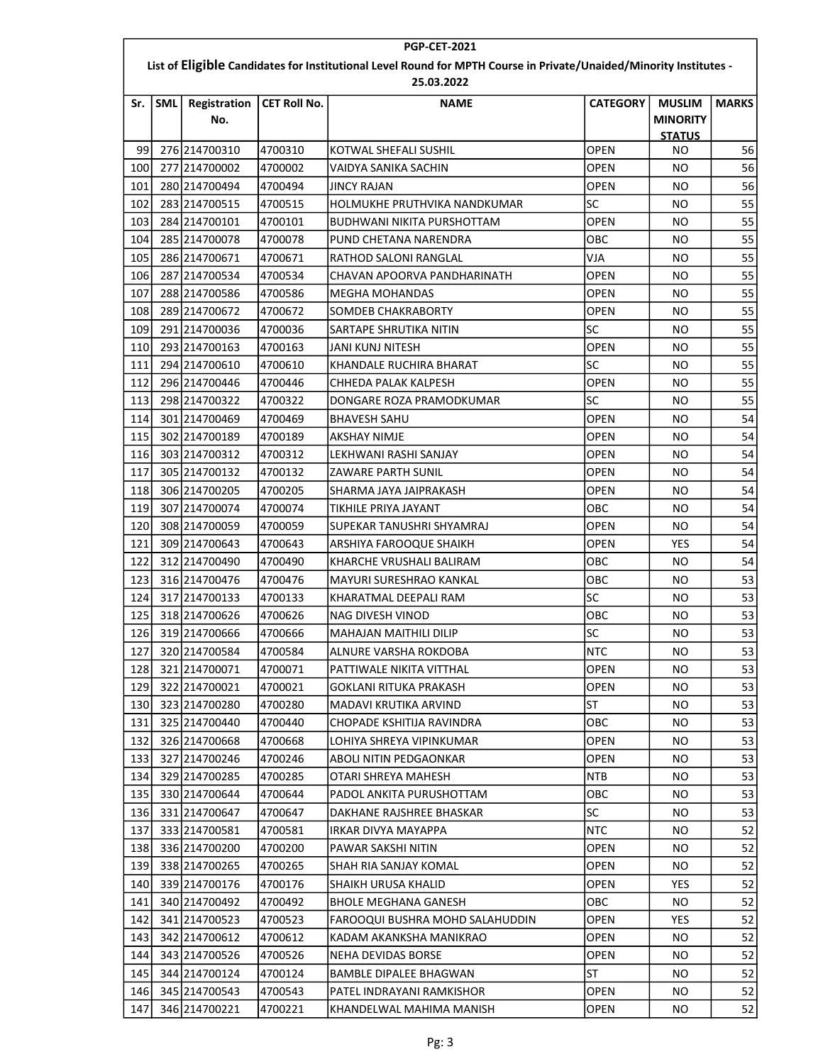|     | <b>PGP-CET-2021</b>                                                                                                |                     |                     |                                   |                 |                                  |              |  |  |  |
|-----|--------------------------------------------------------------------------------------------------------------------|---------------------|---------------------|-----------------------------------|-----------------|----------------------------------|--------------|--|--|--|
|     | List of Eligible Candidates for Institutional Level Round for MPTH Course in Private/Unaided/Minority Institutes - |                     |                     |                                   |                 |                                  |              |  |  |  |
|     |                                                                                                                    |                     |                     | 25.03.2022                        |                 |                                  |              |  |  |  |
| Sr. | <b>SML</b>                                                                                                         | Registration<br>No. | <b>CET Roll No.</b> | <b>NAME</b>                       | <b>CATEGORY</b> | <b>MUSLIM</b><br><b>MINORITY</b> | <b>MARKS</b> |  |  |  |
|     |                                                                                                                    |                     |                     |                                   |                 | <b>STATUS</b>                    |              |  |  |  |
| 99  |                                                                                                                    | 276 214700310       | 4700310             | KOTWAL SHEFALI SUSHIL             | <b>OPEN</b>     | ΝO                               | 56           |  |  |  |
| 100 |                                                                                                                    | 277 214700002       | 4700002             | VAIDYA SANIKA SACHIN              | <b>OPEN</b>     | NO                               | 56           |  |  |  |
| 101 |                                                                                                                    | 280 214700494       | 4700494             | JINCY RAJAN                       | <b>OPEN</b>     | NO                               | 56           |  |  |  |
| 102 |                                                                                                                    | 283 214700515       | 4700515             | HOLMUKHE PRUTHVIKA NANDKUMAR      | lsc             | ΝO                               | 55           |  |  |  |
| 103 |                                                                                                                    | 284 214700101       | 4700101             | <b>BUDHWANI NIKITA PURSHOTTAM</b> | <b>OPEN</b>     | ΝO                               | 55           |  |  |  |
| 104 |                                                                                                                    | 285 214700078       | 4700078             | PUND CHETANA NARENDRA             | овс             | ΝO                               | 55           |  |  |  |
| 105 |                                                                                                                    | 286 214700671       | 4700671             | RATHOD SALONI RANGLAL             | VJA             | ΝO                               | 55           |  |  |  |
| 106 |                                                                                                                    | 287 214700534       | 4700534             | CHAVAN APOORVA PANDHARINATH       | OPEN            | ΝO                               | 55           |  |  |  |
| 107 |                                                                                                                    | 288 214700586       | 4700586             | MEGHA MOHANDAS                    | OPEN            | ΝO                               | 55           |  |  |  |
| 108 |                                                                                                                    | 289 214700672       | 4700672             | SOMDEB CHAKRABORTY                | <b>OPEN</b>     | ΝO                               | 55           |  |  |  |
| 109 |                                                                                                                    | 291 214700036       | 4700036             | SARTAPE SHRUTIKA NITIN            | lsc             | ΝO                               | 55           |  |  |  |
| 110 |                                                                                                                    | 293 214700163       | 4700163             | JANI KUNJ NITESH                  | <b>OPEN</b>     | ΝO                               | 55           |  |  |  |
| 111 |                                                                                                                    | 294 214700610       | 4700610             | KHANDALE RUCHIRA BHARAT           | <b>SC</b>       | ΝO                               | 55           |  |  |  |
| 112 |                                                                                                                    | 296 214700446       | 4700446             | CHHEDA PALAK KALPESH              | OPEN            | NO                               | 55           |  |  |  |
| 113 |                                                                                                                    | 298 214700322       | 4700322             | DONGARE ROZA PRAMODKUMAR          | lsc             | ΝO                               | 55           |  |  |  |
| 114 |                                                                                                                    | 301 214700469       | 4700469             | <b>BHAVESH SAHU</b>               | <b>OPEN</b>     | NO                               | 54           |  |  |  |
| 115 |                                                                                                                    | 302 214700189       | 4700189             | AKSHAY NIMJE                      | OPEN            | ΝO                               | 54           |  |  |  |
| 116 |                                                                                                                    | 303 214700312       | 4700312             | LEKHWANI RASHI SANJAY             | <b>OPEN</b>     | NO.                              | 54           |  |  |  |
| 117 |                                                                                                                    | 305 214700132       | 4700132             | ZAWARE PARTH SUNIL                | OPEN            | ΝO                               | 54           |  |  |  |
| 118 |                                                                                                                    | 306 214700205       | 4700205             | SHARMA JAYA JAIPRAKASH            | <b>OPEN</b>     | ΝO                               | 54           |  |  |  |
| 119 |                                                                                                                    | 307 214700074       | 4700074             | TIKHILE PRIYA JAYANT              | овс             | ΝO                               | 54           |  |  |  |
| 120 |                                                                                                                    | 308 214700059       | 4700059             | SUPEKAR TANUSHRI SHYAMRAJ         | OPEN            | ΝO                               | 54           |  |  |  |
| 121 |                                                                                                                    | 309 214700643       | 4700643             | ARSHIYA FAROOQUE SHAIKH           | OPEN            | <b>YES</b>                       | 54           |  |  |  |
| 122 |                                                                                                                    | 312 214700490       | 4700490             | KHARCHE VRUSHALI BALIRAM          | овс             | ΝO                               | 54           |  |  |  |
| 123 |                                                                                                                    | 316 214700476       | 4700476             | MAYURI SURESHRAO KANKAL           | овс             | ΝO                               | 53           |  |  |  |
| 124 |                                                                                                                    | 317 214700133       | 4700133             | KHARATMAL DEEPALI RAM             | lsc             | ΝO                               | 53           |  |  |  |
| 125 |                                                                                                                    | 318 214700626       | 4700626             | NAG DIVESH VINOD                  | OBC             | ΝO                               | 53           |  |  |  |
| 126 |                                                                                                                    | 319 214700666       | 4700666             | <b>MAHAJAN MAITHILI DILIP</b>     | SC              | ΝO                               | 53           |  |  |  |
| 127 |                                                                                                                    | 320 214700584       | 4700584             | ALNURE VARSHA ROKDOBA             | <b>NTC</b>      | NO.                              | 53           |  |  |  |
| 128 |                                                                                                                    | 321 214700071       | 4700071             | PATTIWALE NIKITA VITTHAL          | <b>OPEN</b>     | NO.                              | 53           |  |  |  |
| 129 |                                                                                                                    | 322 214700021       | 4700021             | <b>GOKLANI RITUKA PRAKASH</b>     | OPEN            | NO.                              | 53           |  |  |  |
| 130 |                                                                                                                    | 323 214700280       | 4700280             | MADAVI KRUTIKA ARVIND             | lst             | NO.                              | 53           |  |  |  |
| 131 |                                                                                                                    | 325 214700440       | 4700440             | CHOPADE KSHITIJA RAVINDRA         | ОВС             | NO.                              | 53           |  |  |  |
| 132 |                                                                                                                    | 326 214700668       | 4700668             | LOHIYA SHREYA VIPINKUMAR          | <b>OPEN</b>     | NO.                              | 53           |  |  |  |
| 133 |                                                                                                                    | 327 214700246       | 4700246             | ABOLI NITIN PEDGAONKAR            | <b>OPEN</b>     | NO.                              | 53           |  |  |  |
| 134 |                                                                                                                    | 329 214700285       | 4700285             | OTARI SHREYA MAHESH               | NTB             | NO.                              | 53           |  |  |  |
| 135 |                                                                                                                    | 330 214700644       | 4700644             | PADOL ANKITA PURUSHOTTAM          | овс             | NO.                              | 53           |  |  |  |
| 136 |                                                                                                                    | 331 214700647       | 4700647             | DAKHANE RAJSHREE BHASKAR          | SC              | NO.                              | 53           |  |  |  |
| 137 |                                                                                                                    | 333 214700581       | 4700581             | IRKAR DIVYA MAYAPPA               | <b>NTC</b>      | NO.                              | 52           |  |  |  |
| 138 |                                                                                                                    | 336 214700200       | 4700200             | PAWAR SAKSHI NITIN                | OPEN            | NO.                              | 52           |  |  |  |
| 139 |                                                                                                                    | 338 214700265       | 4700265             | SHAH RIA SANJAY KOMAL             | <b>OPEN</b>     | NO.                              | 52           |  |  |  |
| 140 |                                                                                                                    | 339 214700176       | 4700176             | <b>SHAIKH URUSA KHALID</b>        | <b>OPEN</b>     | YES                              | 52           |  |  |  |
| 141 |                                                                                                                    | 340 214700492       | 4700492             | <b>BHOLE MEGHANA GANESH</b>       | ОВС             | NO.                              | 52           |  |  |  |
| 142 |                                                                                                                    | 341 214700523       | 4700523             | FAROOQUI BUSHRA MOHD SALAHUDDIN   | OPEN            | <b>YES</b>                       | 52           |  |  |  |
| 143 |                                                                                                                    | 342 214700612       | 4700612             | KADAM AKANKSHA MANIKRAO           | <b>OPEN</b>     | NO.                              | 52           |  |  |  |
| 144 |                                                                                                                    | 343 214700526       | 4700526             | NEHA DEVIDAS BORSE                | OPEN            | NO.                              | 52           |  |  |  |
| 145 |                                                                                                                    | 344 214700124       | 4700124             | BAMBLE DIPALEE BHAGWAN            | ST              | NO.                              | 52           |  |  |  |
| 146 |                                                                                                                    | 345 214700543       | 4700543             | PATEL INDRAYANI RAMKISHOR         | OPEN            | NO.                              | 52           |  |  |  |
| 147 |                                                                                                                    | 346 214700221       | 4700221             | KHANDELWAL MAHIMA MANISH          | <b>OPEN</b>     | NO.                              | 52           |  |  |  |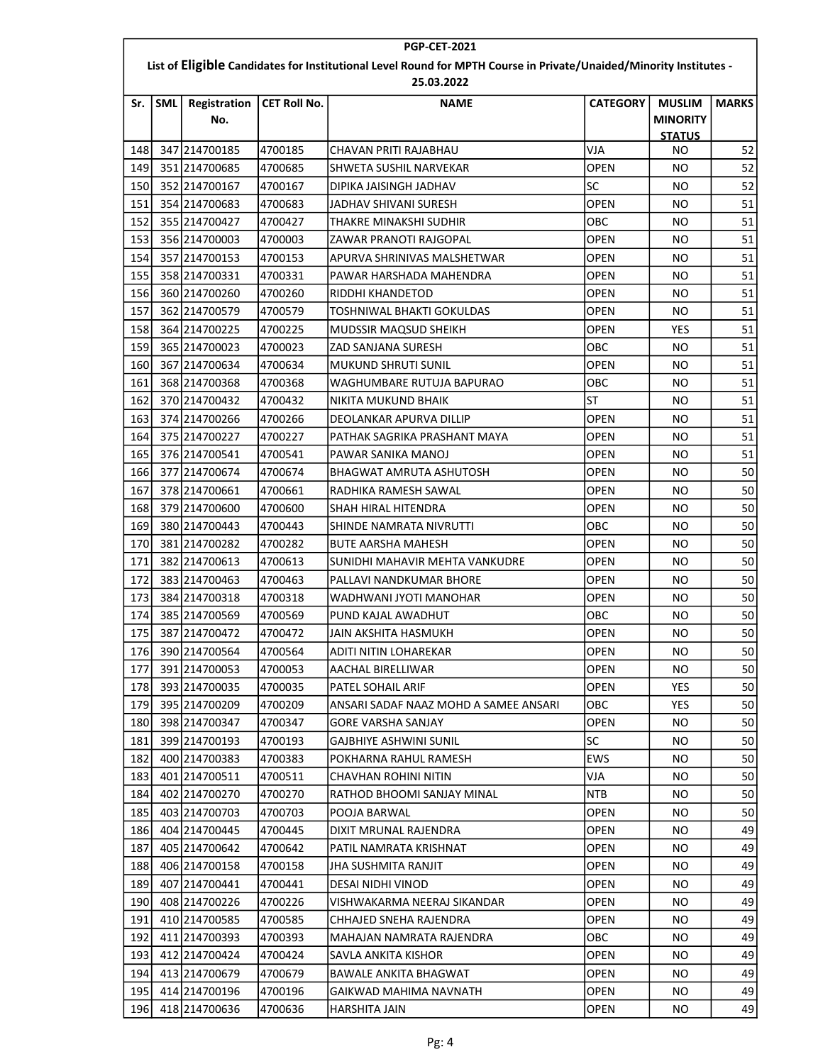|                                                                                                                    | <b>PGP-CET-2021</b> |                     |                     |                                       |                 |                                  |              |  |  |
|--------------------------------------------------------------------------------------------------------------------|---------------------|---------------------|---------------------|---------------------------------------|-----------------|----------------------------------|--------------|--|--|
| List of Eligible Candidates for Institutional Level Round for MPTH Course in Private/Unaided/Minority Institutes - |                     |                     |                     |                                       |                 |                                  |              |  |  |
|                                                                                                                    |                     |                     |                     | 25.03.2022                            |                 |                                  |              |  |  |
| Sr.                                                                                                                | <b>SML</b>          | Registration<br>No. | <b>CET Roll No.</b> | <b>NAME</b>                           | <b>CATEGORY</b> | <b>MUSLIM</b><br><b>MINORITY</b> | <b>MARKS</b> |  |  |
| 148                                                                                                                |                     | 347 214700185       | 4700185             | CHAVAN PRITI RAJABHAU                 | VJA             | <b>STATUS</b><br>ΝO              | 52           |  |  |
| 149                                                                                                                |                     | 351 214700685       | 4700685             | SHWETA SUSHIL NARVEKAR                | <b>OPEN</b>     | NO.                              | 52           |  |  |
|                                                                                                                    |                     |                     |                     |                                       | lsc             |                                  | 52           |  |  |
| 150                                                                                                                |                     | 352 214700167       | 4700167             | DIPIKA JAISINGH JADHAV                |                 | NO.                              | 51           |  |  |
| 151                                                                                                                |                     | 354 214700683       | 4700683             | JADHAV SHIVANI SURESH                 | OPEN            | ΝO                               |              |  |  |
| 152                                                                                                                |                     | 355 214700427       | 4700427             | THAKRE MINAKSHI SUDHIR                | OBC             | ΝO                               | 51           |  |  |
| 153                                                                                                                |                     | 356 214700003       | 4700003             | ZAWAR PRANOTI RAJGOPAL                | <b>OPEN</b>     | NO.                              | 51           |  |  |
| 154                                                                                                                |                     | 357 214700153       | 4700153             | APURVA SHRINIVAS MALSHETWAR           | <b>OPEN</b>     | <b>NO</b>                        | 51           |  |  |
| 155                                                                                                                |                     | 358 214700331       | 4700331             | PAWAR HARSHADA MAHENDRA               | <b>OPEN</b>     | ΝO                               | 51           |  |  |
| 156                                                                                                                |                     | 360 214700260       | 4700260             | RIDDHI KHANDETOD                      | <b>OPEN</b>     | NO.                              | 51           |  |  |
| 157                                                                                                                |                     | 362 214700579       | 4700579             | TOSHNIWAL BHAKTI GOKULDAS             | <b>OPEN</b>     | NO.                              | 51           |  |  |
| 158                                                                                                                |                     | 364 214700225       | 4700225             | MUDSSIR MAQSUD SHEIKH                 | <b>OPEN</b>     | YES                              | 51           |  |  |
| 159                                                                                                                |                     | 365 214700023       | 4700023             | ZAD SANJANA SURESH                    | ОВС             | NO.                              | 51           |  |  |
| 160                                                                                                                |                     | 367 214700634       | 4700634             | <b>MUKUND SHRUTI SUNIL</b>            | OPEN            | ΝO                               | 51           |  |  |
| 161                                                                                                                |                     | 368 214700368       | 4700368             | WAGHUMBARE RUTUJA BAPURAO             | OBC             | NO.                              | 51           |  |  |
| 162                                                                                                                |                     | 370 214700432       | 4700432             | <b>NIKITA MUKUND BHAIK</b>            | ST              | <b>NO</b>                        | 51           |  |  |
| 163                                                                                                                |                     | 374 214700266       | 4700266             | DEOLANKAR APURVA DILLIP               | <b>OPEN</b>     | NO.                              | 51           |  |  |
| 164                                                                                                                |                     | 375 214700227       | 4700227             | PATHAK SAGRIKA PRASHANT MAYA          | OPEN            | ΝO                               | 51           |  |  |
| 165                                                                                                                |                     | 376 214700541       | 4700541             | PAWAR SANIKA MANOJ                    | <b>OPEN</b>     | ΝO                               | 51           |  |  |
| 166                                                                                                                |                     | 377 214700674       | 4700674             | BHAGWAT AMRUTA ASHUTOSH               | <b>OPEN</b>     | ΝO                               | 50           |  |  |
| 167                                                                                                                |                     | 378 214700661       | 4700661             | RADHIKA RAMESH SAWAL                  | OPEN            | NO.                              | 50           |  |  |
| 168                                                                                                                |                     | 379 214700600       | 4700600             | SHAH HIRAL HITENDRA                   | <b>OPEN</b>     | ΝO                               | 50           |  |  |
| 169                                                                                                                |                     | 380 214700443       | 4700443             | SHINDE NAMRATA NIVRUTTI               | OBC             | NO.                              | 50           |  |  |
| 170                                                                                                                |                     | 381 214700282       | 4700282             | <b>BUTE AARSHA MAHESH</b>             | <b>OPEN</b>     | NO.                              | 50           |  |  |
| 171                                                                                                                |                     | 382 214700613       | 4700613             | SUNIDHI MAHAVIR MEHTA VANKUDRE        | <b>OPEN</b>     | ΝO                               | 50           |  |  |
| 172                                                                                                                |                     | 383 214700463       | 4700463             | PALLAVI NANDKUMAR BHORE               | OPEN            | ΝO                               | 50           |  |  |
| 173                                                                                                                |                     | 384 214700318       | 4700318             | WADHWANI JYOTI MANOHAR                | <b>OPEN</b>     | NO.                              | 50           |  |  |
| 174                                                                                                                |                     | 385 214700569       | 4700569             | PUND KAJAL AWADHUT                    | OBC             | ΝO                               | 50           |  |  |
| 175                                                                                                                |                     | 387 214700472       | 4700472             | JAIN AKSHITA HASMUKH                  | <b>OPEN</b>     | NO.                              | 50           |  |  |
| 176                                                                                                                |                     | 390 214700564       | 4700564             | <b>ADITI NITIN LOHAREKAR</b>          | <b>OPEN</b>     | NO.                              | 50           |  |  |
| 177                                                                                                                |                     | 391 214700053       | 4700053             | AACHAL BIRELLIWAR                     | <b>OPEN</b>     | NO.                              | 50           |  |  |
| 178                                                                                                                |                     | 393 214700035       | 4700035             | PATEL SOHAIL ARIF                     | <b>OPEN</b>     | YES                              | 50           |  |  |
| 179                                                                                                                |                     | 395 214700209       | 4700209             | ANSARI SADAF NAAZ MOHD A SAMEE ANSARI | ОВС             | YES.                             | 50           |  |  |
| 180                                                                                                                |                     | 398 214700347       | 4700347             | <b>GORE VARSHA SANJAY</b>             | <b>OPEN</b>     | NO.                              | 50           |  |  |
| 181                                                                                                                |                     | 399 214700193       | 4700193             | <b>GAJBHIYE ASHWINI SUNIL</b>         | lsc             | NO.                              | 50           |  |  |
| 182                                                                                                                |                     | 400 214700383       | 4700383             | POKHARNA RAHUL RAMESH                 | EWS             | NO.                              | 50           |  |  |
| 183                                                                                                                |                     | 401 214700511       | 4700511             | CHAVHAN ROHINI NITIN                  | VJA             | NO.                              | 50           |  |  |
| 184                                                                                                                |                     | 402 214700270       | 4700270             | RATHOD BHOOMI SANJAY MINAL            | <b>NTB</b>      | NO.                              | 50           |  |  |
| 185                                                                                                                |                     | 403 214700703       | 4700703             | POOJA BARWAL                          | OPEN            | NO.                              | 50           |  |  |
| 186                                                                                                                |                     | 404 214700445       | 4700445             | DIXIT MRUNAL RAJENDRA                 | <b>OPEN</b>     | NO.                              | 49           |  |  |
| 187                                                                                                                |                     | 405 214700642       | 4700642             | PATIL NAMRATA KRISHNAT                | <b>OPEN</b>     | NO.                              | 49           |  |  |
| 188                                                                                                                |                     | 406 214700158       | 4700158             | JHA SUSHMITA RANJIT                   | OPEN            | NO.                              | 49           |  |  |
| 189                                                                                                                |                     | 407 214700441       | 4700441             | DESAI NIDHI VINOD                     | <b>OPEN</b>     | NO.                              | 49           |  |  |
| 190                                                                                                                |                     | 408 214700226       | 4700226             | VISHWAKARMA NEERAJ SIKANDAR           | <b>OPEN</b>     | NO.                              | 49           |  |  |
| 191                                                                                                                |                     | 410 214700585       | 4700585             | CHHAJED SNEHA RAJENDRA                | OPEN            | NO.                              | 49           |  |  |
| 192                                                                                                                |                     | 411 214700393       | 4700393             | MAHAJAN NAMRATA RAJENDRA              | ОВС             | NO.                              | 49           |  |  |
| 193                                                                                                                |                     | 412 214700424       | 4700424             | SAVLA ANKITA KISHOR                   | OPEN            | NO.                              | 49           |  |  |
| 194                                                                                                                |                     | 413 214700679       | 4700679             | <b>BAWALE ANKITA BHAGWAT</b>          | <b>OPEN</b>     | NO.                              | 49           |  |  |
| 195                                                                                                                |                     | 414 214700196       | 4700196             | GAIKWAD MAHIMA NAVNATH                | <b>OPEN</b>     | NO.                              | 49           |  |  |
| 196                                                                                                                |                     | 418 214700636       | 4700636             | HARSHITA JAIN                         | <b>OPEN</b>     | NO.                              | 49           |  |  |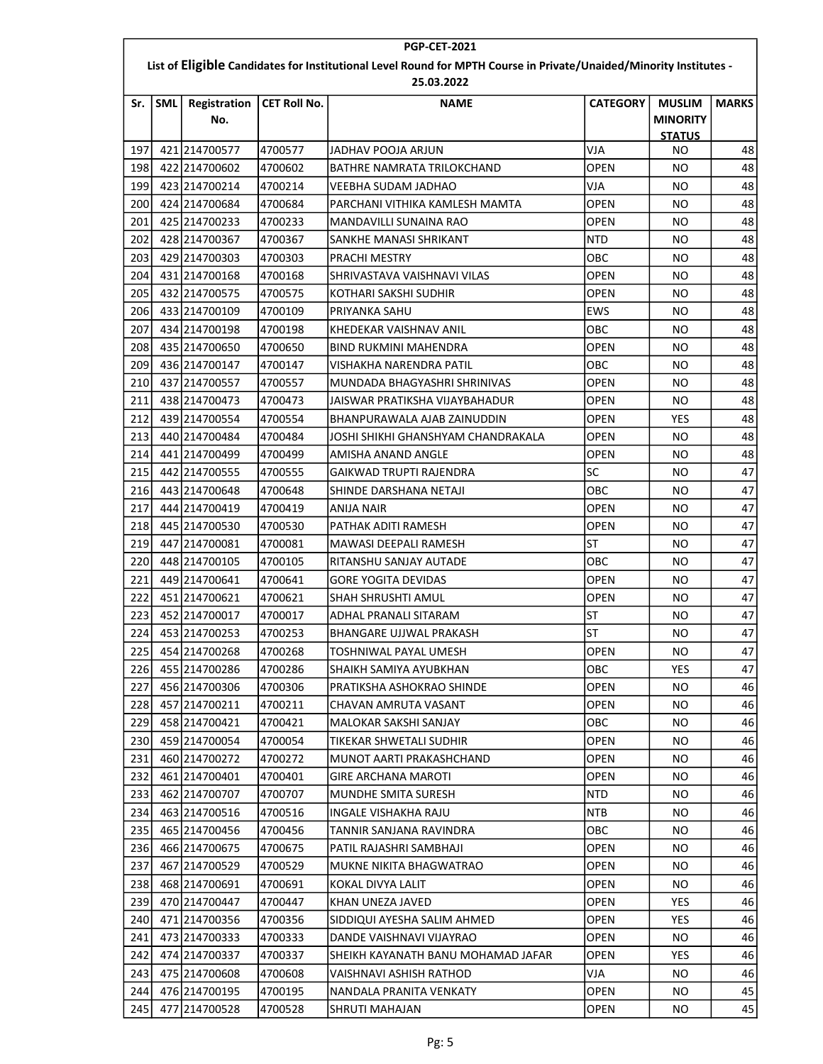|            | <b>PGP-CET-2021</b>                                                                                                |                                |                     |                                    |                    |                     |              |  |  |  |
|------------|--------------------------------------------------------------------------------------------------------------------|--------------------------------|---------------------|------------------------------------|--------------------|---------------------|--------------|--|--|--|
|            | List of Eligible Candidates for Institutional Level Round for MPTH Course in Private/Unaided/Minority Institutes - |                                |                     |                                    |                    |                     |              |  |  |  |
| Sr.        | <b>SML</b>                                                                                                         | Registration                   | <b>CET Roll No.</b> | 25.03.2022<br><b>NAME</b>          | <b>CATEGORY</b>    | <b>MUSLIM</b>       | <b>MARKS</b> |  |  |  |
|            |                                                                                                                    | No.                            |                     |                                    |                    | <b>MINORITY</b>     |              |  |  |  |
| 197        |                                                                                                                    | 421 214700577                  | 4700577             | JADHAV POOJA ARJUN                 | VJA                | <b>STATUS</b><br>ΝO | 48           |  |  |  |
| 198        |                                                                                                                    | 422 214700602                  | 4700602             | BATHRE NAMRATA TRILOKCHAND         | <b>OPEN</b>        | ΝO                  | 48           |  |  |  |
| 199        |                                                                                                                    | 423 214700214                  | 4700214             | VEEBHA SUDAM JADHAO                | VJA                | NO                  | 48           |  |  |  |
| 200        |                                                                                                                    | 424 214700684                  | 4700684             | PARCHANI VITHIKA KAMLESH MAMTA     | OPEN               | ΝO                  | 48           |  |  |  |
| 201        |                                                                                                                    | 425 214700233                  | 4700233             | MANDAVILLI SUNAINA RAO             | <b>OPEN</b>        | ΝO                  | 48           |  |  |  |
| 202        |                                                                                                                    | 428 214700367                  | 4700367             | SANKHE MANASI SHRIKANT             | <b>NTD</b>         | ΝO                  | 48           |  |  |  |
| 203        |                                                                                                                    | 429 214700303                  | 4700303             | <b>PRACHI MESTRY</b>               | OBC                | NO                  | 48           |  |  |  |
| 204        |                                                                                                                    | 431 214700168                  | 4700168             | SHRIVASTAVA VAISHNAVI VILAS        | OPEN               | ΝO                  | 48           |  |  |  |
| 205        |                                                                                                                    | 432 214700575                  | 4700575             | KOTHARI SAKSHI SUDHIR              | <b>OPEN</b>        | ΝO                  | 48           |  |  |  |
| 206        |                                                                                                                    | 433 214700109                  | 4700109             | PRIYANKA SAHU                      | <b>EWS</b>         | ΝO                  | 48           |  |  |  |
|            |                                                                                                                    |                                |                     |                                    | ОВС                | NO                  | 48           |  |  |  |
| 207<br>208 |                                                                                                                    | 434 214700198<br>435 214700650 | 4700198             | KHEDEKAR VAISHNAV ANIL             | OPEN               | NO                  | 48           |  |  |  |
|            |                                                                                                                    | 436 214700147                  | 4700650             | BIND RUKMINI MAHENDRA              |                    |                     | 48           |  |  |  |
| 209<br>210 |                                                                                                                    |                                | 4700147             | VISHAKHA NARENDRA PATIL            | овс<br><b>OPEN</b> | ΝO                  |              |  |  |  |
|            |                                                                                                                    | 437 214700557                  | 4700557             | MUNDADA BHAGYASHRI SHRINIVAS       |                    | NO                  | 48           |  |  |  |
| 211        |                                                                                                                    | 438 214700473                  | 4700473             | JAISWAR PRATIKSHA VIJAYBAHADUR     | <b>OPEN</b>        | NO                  | 48           |  |  |  |
| 212        |                                                                                                                    | 439 214700554                  | 4700554             | BHANPURAWALA AJAB ZAINUDDIN        | OPEN               | <b>YES</b>          | 48           |  |  |  |
| 213        |                                                                                                                    | 440 214700484                  | 4700484             | JOSHI SHIKHI GHANSHYAM CHANDRAKALA | <b>OPEN</b>        | ΝO                  | 48           |  |  |  |
| 214        |                                                                                                                    | 441 214700499                  | 4700499             | AMISHA ANAND ANGLE                 | OPEN               | ΝO                  | 48           |  |  |  |
| 215        |                                                                                                                    | 442 214700555                  | 4700555             | GAIKWAD TRUPTI RAJENDRA            | lsc                | ΝO                  | 47           |  |  |  |
| 216        |                                                                                                                    | 443 214700648                  | 4700648             | SHINDE DARSHANA NETAJI             | овс                | NO                  | 47           |  |  |  |
| 217        |                                                                                                                    | 444 214700419                  | 4700419             | ANIJA NAIR                         | OPEN               | ΝO                  | 47           |  |  |  |
| 218        |                                                                                                                    | 445 214700530                  | 4700530             | PATHAK ADITI RAMESH                | <b>OPEN</b>        | ΝO                  | 47           |  |  |  |
| 219        |                                                                                                                    | 447 214700081                  | 4700081             | MAWASI DEEPALI RAMESH              | ST                 | ΝO                  | 47           |  |  |  |
| 220        |                                                                                                                    | 448 214700105                  | 4700105             | RITANSHU SANJAY AUTADE             | ОВС                | ΝO                  | 47           |  |  |  |
| 221        |                                                                                                                    | 449 214700641                  | 4700641             | <b>GORE YOGITA DEVIDAS</b>         | OPEN               | ΝO                  | 47           |  |  |  |
| 222        |                                                                                                                    | 451 214700621                  | 4700621             | SHAH SHRUSHTI AMUL                 | OPEN               | NO.                 | 47           |  |  |  |
| 223        |                                                                                                                    | 452 214700017                  | 4700017             | ADHAL PRANALI SITARAM              | ST                 | ΝO                  | 47           |  |  |  |
| 224        |                                                                                                                    | 453 214700253                  | 4700253             | BHANGARE UJJWAL PRAKASH            | <b>ST</b>          | NO                  | 47           |  |  |  |
| 225        |                                                                                                                    | 454 214700268                  | 4700268             | TOSHNIWAL PAYAL UMESH              | OPEN               | NO.                 | 47           |  |  |  |
| 226        |                                                                                                                    | 455 214700286                  | 4700286             | SHAIKH SAMIYA AYUBKHAN             | OBC                | <b>YES</b>          | 47           |  |  |  |
| 227        |                                                                                                                    | 456 214700306                  | 4700306             | PRATIKSHA ASHOKRAO SHINDE          | OPEN               | NO.                 | 46           |  |  |  |
| 228        |                                                                                                                    | 457 214700211                  | 4700211             | CHAVAN AMRUTA VASANT               | <b>OPEN</b>        | ΝO                  | 46           |  |  |  |
| 229        |                                                                                                                    | 458 214700421                  | 4700421             | MALOKAR SAKSHI SANJAY              | ОВС                | ΝO                  | 46           |  |  |  |
| 230        |                                                                                                                    | 459 214700054                  | 4700054             | TIKEKAR SHWETALI SUDHIR            | OPEN               | NO.                 | 46           |  |  |  |
| 231        |                                                                                                                    | 460 214700272                  | 4700272             | MUNOT AARTI PRAKASHCHAND           | <b>OPEN</b>        | NO.                 | 46           |  |  |  |
| 232        |                                                                                                                    | 461 214700401                  | 4700401             | GIRE ARCHANA MAROTI                | OPEN               | NO.                 | 46           |  |  |  |
| 233        |                                                                                                                    | 462 214700707                  | 4700707             | MUNDHE SMITA SURESH                | <b>NTD</b>         | NO.                 | 46           |  |  |  |
| 234        |                                                                                                                    | 463 214700516                  | 4700516             | INGALE VISHAKHA RAJU               | NTB                | NO.                 | 46           |  |  |  |
| 235        |                                                                                                                    | 465 214700456                  | 4700456             | TANNIR SANJANA RAVINDRA            | ОВС                | NO.                 | 46           |  |  |  |
| 236        |                                                                                                                    | 466 214700675                  | 4700675             | PATIL RAJASHRI SAMBHAJI            | OPEN               | NO.                 | 46           |  |  |  |
| 237        |                                                                                                                    | 467 214700529                  | 4700529             | MUKNE NIKITA BHAGWATRAO            | OPEN               | ΝO                  | 46           |  |  |  |
| 238        |                                                                                                                    | 468 214700691                  | 4700691             | KOKAL DIVYA LALIT                  | <b>OPEN</b>        | NO.                 | 46           |  |  |  |
| 239        |                                                                                                                    | 470 214700447                  | 4700447             | KHAN UNEZA JAVED                   | OPEN               | YES.                | 46           |  |  |  |
| 240        |                                                                                                                    | 471 214700356                  | 4700356             | SIDDIQUI AYESHA SALIM AHMED        | <b>OPEN</b>        | <b>YES</b>          | 46           |  |  |  |
| 241        |                                                                                                                    | 473 214700333                  | 4700333             | DANDE VAISHNAVI VIJAYRAO           | OPEN               | NO.                 | 46           |  |  |  |
| 242        |                                                                                                                    | 474 214700337                  | 4700337             | SHEIKH KAYANATH BANU MOHAMAD JAFAR | OPEN               | YES.                | 46           |  |  |  |
| 243        |                                                                                                                    | 475 214700608                  | 4700608             | VAISHNAVI ASHISH RATHOD            | VJA                | NO.                 | 46           |  |  |  |
| 244        |                                                                                                                    | 476 214700195                  | 4700195             | NANDALA PRANITA VENKATY            | OPEN               | NO.                 | 45           |  |  |  |
| 245        |                                                                                                                    | 477 214700528                  | 4700528             | SHRUTI MAHAJAN                     | OPEN               | NO.                 | 45           |  |  |  |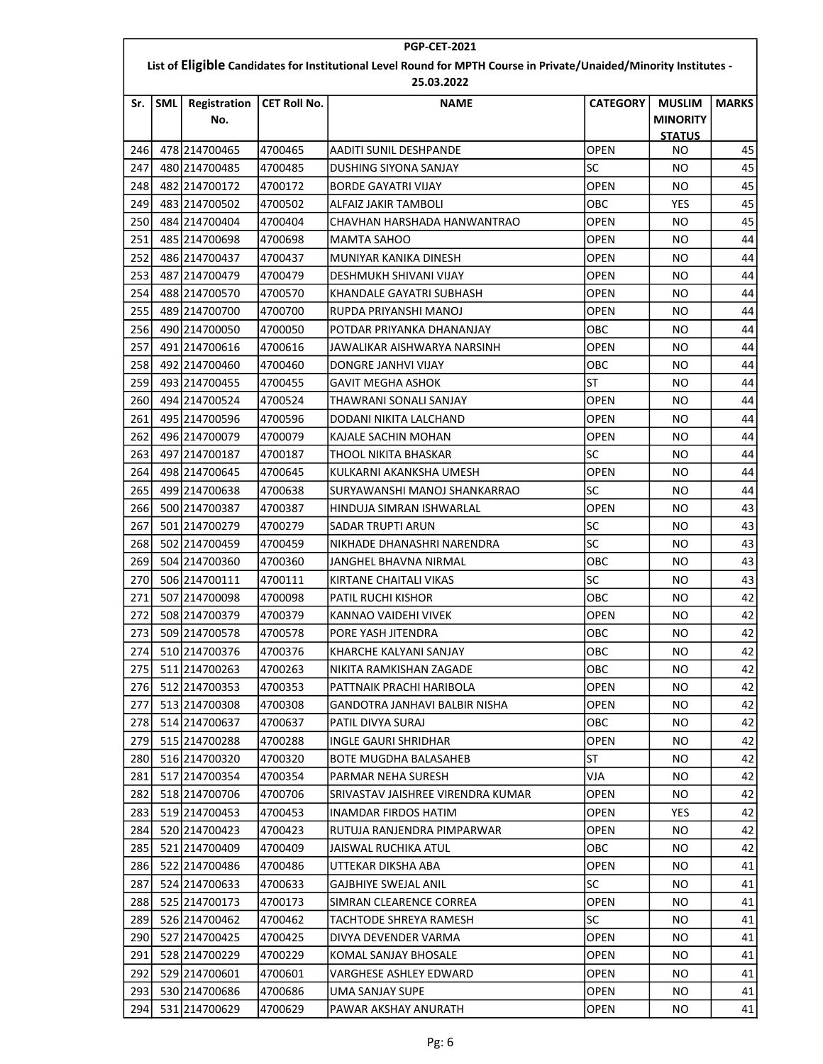| <b>PGP-CET-2021</b>                                                                                                              |            |                     |              |                                   |                 |                                                   |              |  |  |
|----------------------------------------------------------------------------------------------------------------------------------|------------|---------------------|--------------|-----------------------------------|-----------------|---------------------------------------------------|--------------|--|--|
| List of Eligible Candidates for Institutional Level Round for MPTH Course in Private/Unaided/Minority Institutes -<br>25.03.2022 |            |                     |              |                                   |                 |                                                   |              |  |  |
| Sr.                                                                                                                              | <b>SML</b> | Registration<br>No. | CET Roll No. | <b>NAME</b>                       | <b>CATEGORY</b> | <b>MUSLIM</b><br><b>MINORITY</b><br><b>STATUS</b> | <b>MARKS</b> |  |  |
| 246                                                                                                                              |            | 478 214700465       | 4700465      | AADITI SUNIL DESHPANDE            | <b>OPEN</b>     | ΝO                                                | 45           |  |  |
| 247                                                                                                                              |            | 480 214700485       | 4700485      | DUSHING SIYONA SANJAY             | <b>SC</b>       | ΝO                                                | 45           |  |  |
| 248                                                                                                                              |            | 482 214700172       | 4700172      | BORDE GAYATRI VIJAY               | <b>OPEN</b>     | ΝO                                                | 45           |  |  |
| 249                                                                                                                              |            | 483 214700502       | 4700502      | ALFAIZ JAKIR TAMBOLI              | OBC             | YES                                               | 45           |  |  |
| 250                                                                                                                              |            | 484 214700404       | 4700404      | CHAVHAN HARSHADA HANWANTRAO       | <b>OPEN</b>     | ΝO                                                | 45           |  |  |
| 251                                                                                                                              |            | 485 214700698       | 4700698      | MAMTA SAHOO                       | OPEN            | NO.                                               | 44           |  |  |
| 252                                                                                                                              |            | 486 214700437       | 4700437      | MUNIYAR KANIKA DINESH             | <b>OPEN</b>     | ΝO                                                | 44           |  |  |
| 253                                                                                                                              |            | 487 214700479       | 4700479      | DESHMUKH SHIVANI VIJAY            | <b>OPEN</b>     | ΝO                                                | 44           |  |  |
| 254                                                                                                                              |            | 488 214700570       | 4700570      | KHANDALE GAYATRI SUBHASH          | <b>OPEN</b>     | ΝO                                                | 44           |  |  |
| 255                                                                                                                              |            | 489 214700700       | 4700700      | RUPDA PRIYANSHI MANOJ             | <b>OPEN</b>     | ΝO                                                | 44           |  |  |
| 256                                                                                                                              |            | 490 214700050       | 4700050      | POTDAR PRIYANKA DHANANJAY         | OBC             | ΝO                                                | 44           |  |  |
| 257                                                                                                                              |            | 491 214700616       | 4700616      | JAWALIKAR AISHWARYA NARSINH       | OPEN            | NO.                                               | 44           |  |  |
| 258                                                                                                                              |            | 492 214700460       | 4700460      | DONGRE JANHVI VIJAY               | OBC             | NO.                                               | 44           |  |  |
| 259                                                                                                                              |            | 493 214700455       | 4700455      | <b>GAVIT MEGHA ASHOK</b>          | ST              | NO.                                               | 44           |  |  |
| 260                                                                                                                              |            | 494 214700524       | 4700524      | THAWRANI SONALI SANJAY            | <b>OPEN</b>     | ΝO                                                | 44           |  |  |
| 261                                                                                                                              |            | 495 214700596       | 4700596      | DODANI NIKITA LALCHAND            | <b>OPEN</b>     | ΝO                                                | 44           |  |  |
| 262                                                                                                                              |            | 496 214700079       | 4700079      | KAJALE SACHIN MOHAN               | <b>OPEN</b>     | NO.                                               | 44           |  |  |
| 263                                                                                                                              |            | 497 214700187       | 4700187      | THOOL NIKITA BHASKAR              | lsc             | ΝO                                                | 44           |  |  |
| 264                                                                                                                              |            | 498 214700645       | 4700645      | KULKARNI AKANKSHA UMESH           | OPEN            | ΝO                                                | 44           |  |  |
| 265                                                                                                                              |            | 499 214700638       | 4700638      | SURYAWANSHI MANOJ SHANKARRAO      | lsc             | ΝO                                                | 44           |  |  |
| 266                                                                                                                              |            | 500 214700387       | 4700387      | HINDUJA SIMRAN ISHWARLAL          | <b>OPEN</b>     | ΝO                                                | 43           |  |  |
| 267                                                                                                                              |            | 501 214700279       | 4700279      | SADAR TRUPTI ARUN                 | SC              | ΝO                                                | 43           |  |  |
| 268                                                                                                                              |            | 502 214700459       | 4700459      | NIKHADE DHANASHRI NARENDRA        | lsc             | NO.                                               | 43           |  |  |
| 269                                                                                                                              |            | 504 214700360       | 4700360      | JANGHEL BHAVNA NIRMAL             | OBC             | ΝO                                                | 43           |  |  |
| 270                                                                                                                              |            | 506 214700111       | 4700111      | KIRTANE CHAITALI VIKAS            | <b>SC</b>       | ΝO                                                | 43           |  |  |
| 271                                                                                                                              |            | 507 214700098       | 4700098      | PATIL RUCHI KISHOR                | OBC             | NO.                                               | 42           |  |  |
| 272                                                                                                                              |            | 508 214700379       | 4700379      | KANNAO VAIDEHI VIVEK              | <b>OPEN</b>     | ΝO                                                | 42           |  |  |
| 273                                                                                                                              |            | 509 214700578       | 4700578      | PORE YASH JITENDRA                | OBC             | NO.                                               | 42           |  |  |
| 274                                                                                                                              |            | 510 214700376       | 4700376      | KHARCHE KALYANI SANJAY            | OBC             | NO.                                               | 42           |  |  |
| 275                                                                                                                              |            | 511 214700263       | 4700263      | NIKITA RAMKISHAN ZAGADE           | OBC             | NO.                                               | 42           |  |  |
| 276                                                                                                                              |            | 512 214700353       | 4700353      | PATTNAIK PRACHI HARIBOLA          | OPEN            | NO.                                               | 42           |  |  |
| 277                                                                                                                              |            | 513 214700308       | 4700308      | GANDOTRA JANHAVI BALBIR NISHA     | <b>OPEN</b>     | NO.                                               | 42           |  |  |
| 278                                                                                                                              |            | 514 214700637       | 4700637      | PATIL DIVYA SURAJ                 | OBC             | NO.                                               | 42           |  |  |
| 279                                                                                                                              |            | 515 214700288       | 4700288      | INGLE GAURI SHRIDHAR              | <b>OPEN</b>     | NO.                                               | 42           |  |  |
| 280                                                                                                                              |            | 516 214700320       | 4700320      | BOTE MUGDHA BALASAHEB             | ST              | NO.                                               | 42           |  |  |
| 281                                                                                                                              |            | 517 214700354       | 4700354      | PARMAR NEHA SURESH                | VJA             | NO.                                               | 42           |  |  |
| 282                                                                                                                              |            | 518 214700706       | 4700706      | SRIVASTAV JAISHREE VIRENDRA KUMAR | <b>OPEN</b>     | NO.                                               | 42           |  |  |
| 283                                                                                                                              |            | 519 214700453       | 4700453      | <b>INAMDAR FIRDOS HATIM</b>       | OPEN            | YES                                               | 42           |  |  |
| 284                                                                                                                              |            | 520 214700423       | 4700423      | RUTUJA RANJENDRA PIMPARWAR        | OPEN            | NO.                                               | 42           |  |  |
| 285                                                                                                                              |            | 521 214700409       | 4700409      | JAISWAL RUCHIKA ATUL              | ОВС             | NO.                                               | 42           |  |  |
| 286                                                                                                                              |            | 522 214700486       | 4700486      | UTTEKAR DIKSHA ABA                | <b>OPEN</b>     | NO.                                               | 41           |  |  |
| 287                                                                                                                              |            | 524 214700633       | 4700633      | <b>GAJBHIYE SWEJAL ANIL</b>       | SC              | NO.                                               | 41           |  |  |
| 288                                                                                                                              |            | 525 214700173       | 4700173      | SIMRAN CLEARENCE CORREA           | <b>OPEN</b>     | NO.                                               | 41           |  |  |
| 289                                                                                                                              |            | 526 214700462       | 4700462      | TACHTODE SHREYA RAMESH            | lsc             | NO.                                               | 41           |  |  |
| 290                                                                                                                              |            | 527 214700425       | 4700425      | DIVYA DEVENDER VARMA              | OPEN            | NO.                                               | 41           |  |  |
| 291                                                                                                                              |            | 528 214700229       | 4700229      | KOMAL SANJAY BHOSALE              | <b>OPEN</b>     | NO.                                               | 41           |  |  |
| 292                                                                                                                              |            | 529 214700601       | 4700601      | VARGHESE ASHLEY EDWARD            | <b>OPEN</b>     | NO.                                               | 41           |  |  |
| 293                                                                                                                              |            | 530 214700686       | 4700686      | UMA SANJAY SUPE                   | <b>OPEN</b>     | NO.                                               | 41           |  |  |
| 294                                                                                                                              |            | 531 214700629       | 4700629      | PAWAR AKSHAY ANURATH              | OPEN            | NO.                                               | 41           |  |  |